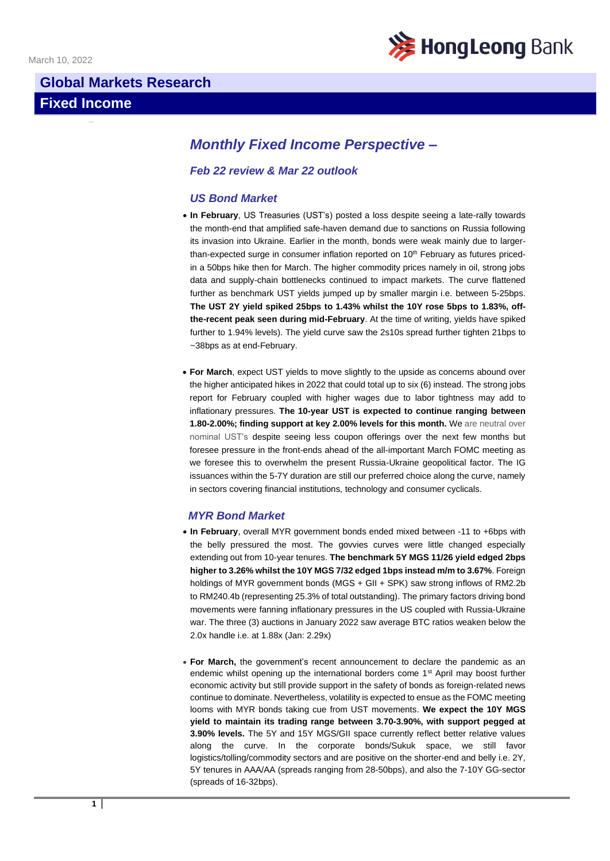

# **Global Markets Research Fixed Income**

# *Monthly Fixed Income Perspective –*

## *Feb 22 review & Mar 22 outlook*

## *US Bond Market*

- **In February**, US Treasuries (UST's) posted a loss despite seeing a late-rally towards the month-end that amplified safe-haven demand due to sanctions on Russia following its invasion into Ukraine. Earlier in the month, bonds were weak mainly due to largerthan-expected surge in consumer inflation reported on  $10<sup>th</sup>$  February as futures pricedin a 50bps hike then for March. The higher commodity prices namely in oil, strong jobs data and supply-chain bottlenecks continued to impact markets. The curve flattened further as benchmark UST yields jumped up by smaller margin i.e. between 5-25bps. **The UST 2Y yield spiked 25bps to 1.43% whilst the 10Y rose 5bps to 1.83%, offthe-recent peak seen during mid-February**. At the time of writing, yields have spiked further to 1.94% levels). The yield curve saw the 2s10s spread further tighten 21bps to ~38bps as at end-February.
- **For March**, expect UST yields to move slightly to the upside as concerns abound over the higher anticipated hikes in 2022 that could total up to six (6) instead. The strong jobs report for February coupled with higher wages due to labor tightness may add to inflationary pressures. **The 10-year UST is expected to continue ranging between 1.80-2.00%; finding support at key 2.00% levels for this month.** We are neutral over nominal UST's despite seeing less coupon offerings over the next few months but foresee pressure in the front-ends ahead of the all-important March FOMC meeting as we foresee this to overwhelm the present Russia-Ukraine geopolitical factor. The IG issuances within the 5-7Y duration are still our preferred choice along the curve, namely in sectors covering financial institutions, technology and consumer cyclicals.

## *MYR Bond Market*

- **In February**, overall MYR government bonds ended mixed between -11 to +6bps with the belly pressured the most. The govvies curves were little changed especially extending out from 10-year tenures. **The benchmark 5Y MGS 11/26 yield edged 2bps higher to 3.26% whilst the 10Y MGS 7/32 edged 1bps instead m/m to 3.67%**. Foreign holdings of MYR government bonds (MGS + GII + SPK) saw strong inflows of RM2.2b to RM240.4b (representing 25.3% of total outstanding). The primary factors driving bond movements were fanning inflationary pressures in the US coupled with Russia-Ukraine war. The three (3) auctions in January 2022 saw average BTC ratios weaken below the 2.0x handle i.e. at 1.88x (Jan: 2.29x)
- **For March,** the government's recent announcement to declare the pandemic as an endemic whilst opening up the international borders come 1<sup>st</sup> April may boost further economic activity but still provide support in the safety of bonds as foreign-related news continue to dominate. Nevertheless, volatility is expected to ensue as the FOMC meeting looms with MYR bonds taking cue from UST movements. **We expect the 10Y MGS yield to maintain its trading range between 3.70-3.90%, with support pegged at 3.90% levels.** The 5Y and 15Y MGS/GII space currently reflect better relative values along the curve. In the corporate bonds/Sukuk space, we still favor logistics/tolling/commodity sectors and are positive on the shorter-end and belly i.e. 2Y, 5Y tenures in AAA/AA (spreads ranging from 28-50bps), and also the 7-10Y GG-sector (spreads of 16-32bps).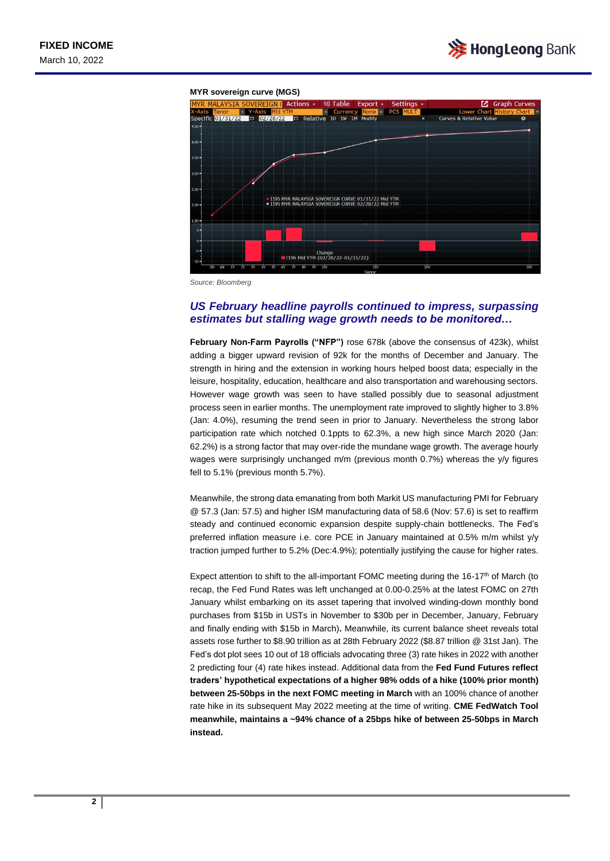

#### **MYR sovereign curve (MGS)**



*Source: Bloomberg*

#### *US February headline payrolls continued to impress, surpassing estimates but stalling wage growth needs to be monitored…*

**February Non-Farm Payrolls ("NFP")** rose 678k (above the consensus of 423k), whilst adding a bigger upward revision of 92k for the months of December and January. The strength in hiring and the extension in working hours helped boost data; especially in the leisure, hospitality, education, healthcare and also transportation and warehousing sectors. However wage growth was seen to have stalled possibly due to seasonal adjustment process seen in earlier months. The unemployment rate improved to slightly higher to 3.8% (Jan: 4.0%), resuming the trend seen in prior to January. Nevertheless the strong labor participation rate which notched 0.1ppts to 62.3%, a new high since March 2020 (Jan: 62.2%) is a strong factor that may over-ride the mundane wage growth. The average hourly wages were surprisingly unchanged m/m (previous month 0.7%) whereas the y/y figures fell to 5.1% (previous month 5.7%).

Meanwhile, the strong data emanating from both Markit US manufacturing PMI for February @ 57.3 (Jan: 57.5) and higher ISM manufacturing data of 58.6 (Nov: 57.6) is set to reaffirm steady and continued economic expansion despite supply-chain bottlenecks. The Fed's preferred inflation measure i.e. core PCE in January maintained at 0.5% m/m whilst y/y traction jumped further to 5.2% (Dec:4.9%); potentially justifying the cause for higher rates.

Expect attention to shift to the all-important FOMC meeting during the 16-17<sup>th</sup> of March (to recap, the Fed Fund Rates was left unchanged at 0.00-0.25% at the latest FOMC on 27th January whilst embarking on its asset tapering that involved winding-down monthly bond purchases from \$15b in USTs in November to \$30b per in December, January, February and finally ending with \$15b in March)**.** Meanwhile, its current balance sheet reveals total assets rose further to \$8.90 trillion as at 28th February 2022 (\$8.87 trillion @ 31st Jan). The Fed's dot plot sees 10 out of 18 officials advocating three (3) rate hikes in 2022 with another 2 predicting four (4) rate hikes instead. Additional data from the **Fed Fund Futures reflect traders' hypothetical expectations of a higher 98% odds of a hike (100% prior month) between 25-50bps in the next FOMC meeting in March** with an 100% chance of another rate hike in its subsequent May 2022 meeting at the time of writing. **CME FedWatch Tool meanwhile, maintains a ~94% chance of a 25bps hike of between 25-50bps in March instead.**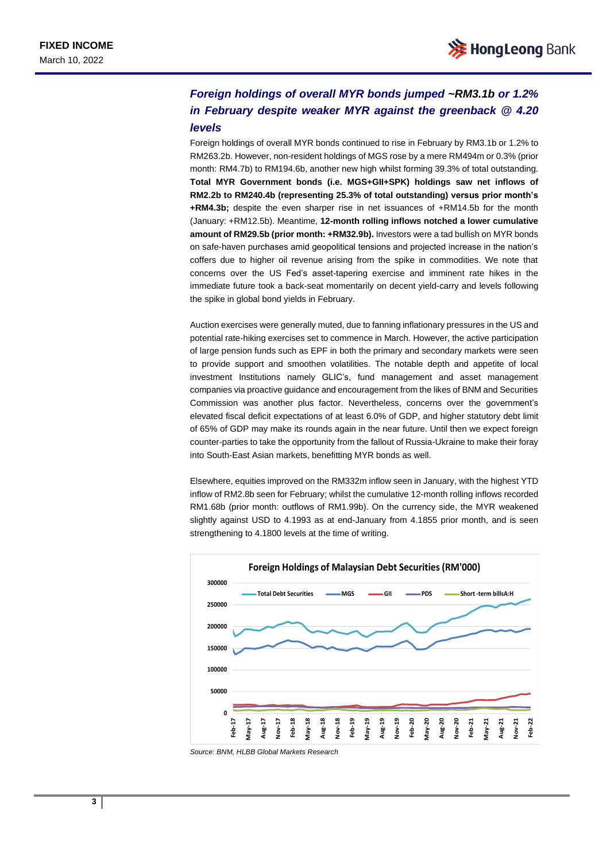# *Foreign holdings of overall MYR bonds jumped ~RM3.1b or 1.2% in February despite weaker MYR against the greenback @ 4.20 levels*

Foreign holdings of overall MYR bonds continued to rise in February by RM3.1b or 1.2% to RM263.2b. However, non-resident holdings of MGS rose by a mere RM494m or 0.3% (prior month: RM4.7b) to RM194.6b, another new high whilst forming 39.3% of total outstanding. **Total MYR Government bonds (i.e. MGS+GII+SPK) holdings saw net inflows of RM2.2b to RM240.4b (representing 25.3% of total outstanding) versus prior month's +RM4.3b;** despite the even sharper rise in net issuances of +RM14.5b for the month (January: +RM12.5b). Meantime, **12-month rolling inflows notched a lower cumulative amount of RM29.5b (prior month: +RM32.9b).** Investors were a tad bullish on MYR bonds on safe-haven purchases amid geopolitical tensions and projected increase in the nation's coffers due to higher oil revenue arising from the spike in commodities. We note that concerns over the US Fed's asset-tapering exercise and imminent rate hikes in the immediate future took a back-seat momentarily on decent yield-carry and levels following the spike in global bond yields in February.

Auction exercises were generally muted, due to fanning inflationary pressures in the US and potential rate-hiking exercises set to commence in March. However, the active participation of large pension funds such as EPF in both the primary and secondary markets were seen to provide support and smoothen volatilities. The notable depth and appetite of local investment Institutions namely GLIC's, fund management and asset management companies via proactive guidance and encouragement from the likes of BNM and Securities Commission was another plus factor. Nevertheless, concerns over the government's elevated fiscal deficit expectations of at least 6.0% of GDP, and higher statutory debt limit of 65% of GDP may make its rounds again in the near future. Until then we expect foreign counter-parties to take the opportunity from the fallout of Russia-Ukraine to make their foray into South-East Asian markets, benefitting MYR bonds as well.

Elsewhere, equities improved on the RM332m inflow seen in January, with the highest YTD inflow of RM2.8b seen for February; whilst the cumulative 12-month rolling inflows recorded RM1.68b (prior month: outflows of RM1.99b). On the currency side, the MYR weakened slightly against USD to 4.1993 as at end-January from 4.1855 prior month, and is seen strengthening to 4.1800 levels at the time of writing.



*Source: BNM, HLBB Global Markets Research*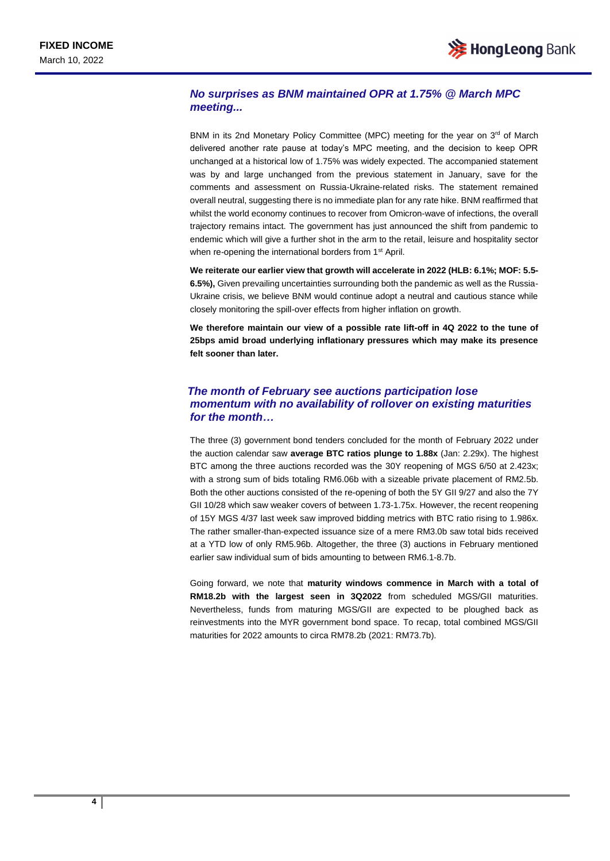## *No surprises as BNM maintained OPR at 1.75% @ March MPC meeting...*

BNM in its 2nd Monetary Policy Committee (MPC) meeting for the year on 3<sup>rd</sup> of March delivered another rate pause at today's MPC meeting, and the decision to keep OPR unchanged at a historical low of 1.75% was widely expected. The accompanied statement was by and large unchanged from the previous statement in January, save for the comments and assessment on Russia-Ukraine-related risks. The statement remained overall neutral, suggesting there is no immediate plan for any rate hike. BNM reaffirmed that whilst the world economy continues to recover from Omicron-wave of infections, the overall trajectory remains intact. The government has just announced the shift from pandemic to endemic which will give a further shot in the arm to the retail, leisure and hospitality sector when re-opening the international borders from 1<sup>st</sup> April.

**We reiterate our earlier view that growth will accelerate in 2022 (HLB: 6.1%; MOF: 5.5- 6.5%),** Given prevailing uncertainties surrounding both the pandemic as well as the Russia-Ukraine crisis, we believe BNM would continue adopt a neutral and cautious stance while closely monitoring the spill-over effects from higher inflation on growth.

**We therefore maintain our view of a possible rate lift-off in 4Q 2022 to the tune of 25bps amid broad underlying inflationary pressures which may make its presence felt sooner than later.** 

## *The month of February see auctions participation lose momentum with no availability of rollover on existing maturities for the month…*

The three (3) government bond tenders concluded for the month of February 2022 under the auction calendar saw **average BTC ratios plunge to 1.88x** (Jan: 2.29x). The highest BTC among the three auctions recorded was the 30Y reopening of MGS 6/50 at 2.423x; with a strong sum of bids totaling RM6.06b with a sizeable private placement of RM2.5b. Both the other auctions consisted of the re-opening of both the 5Y GII 9/27 and also the 7Y GII 10/28 which saw weaker covers of between 1.73-1.75x. However, the recent reopening of 15Y MGS 4/37 last week saw improved bidding metrics with BTC ratio rising to 1.986x. The rather smaller-than-expected issuance size of a mere RM3.0b saw total bids received at a YTD low of only RM5.96b. Altogether, the three (3) auctions in February mentioned earlier saw individual sum of bids amounting to between RM6.1-8.7b.

Going forward, we note that **maturity windows commence in March with a total of RM18.2b with the largest seen in 3Q2022** from scheduled MGS/GII maturities. Nevertheless, funds from maturing MGS/GII are expected to be ploughed back as reinvestments into the MYR government bond space. To recap, total combined MGS/GII maturities for 2022 amounts to circa RM78.2b (2021: RM73.7b).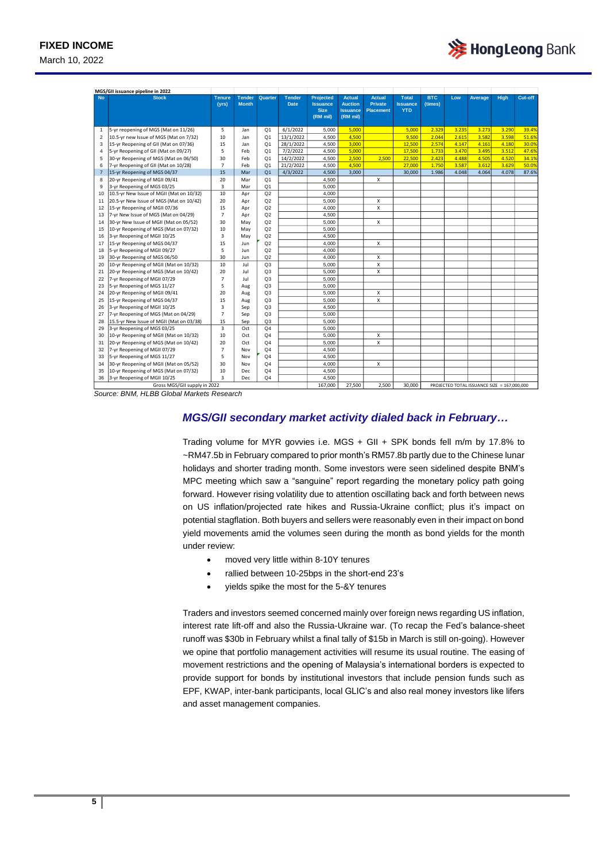March 10, 2022

| MGS/GII issuance pipeline in 2022 |                                          |                         |                               |                |                              |                                                                |                                                                |                                                     |                                               |                       |       |                                             |             |         |
|-----------------------------------|------------------------------------------|-------------------------|-------------------------------|----------------|------------------------------|----------------------------------------------------------------|----------------------------------------------------------------|-----------------------------------------------------|-----------------------------------------------|-----------------------|-------|---------------------------------------------|-------------|---------|
| <b>No</b>                         | <b>Stock</b>                             | <b>Tenure</b><br>(yrs)  | <b>Tender</b><br><b>Month</b> | Quarter        | <b>Tender</b><br><b>Date</b> | <b>Projected</b><br><b>Issuance</b><br><b>Size</b><br>(RM mil) | <b>Actual</b><br><b>Auction</b><br><b>Issuance</b><br>(RM mil) | <b>Actual</b><br><b>Private</b><br><b>Placement</b> | <b>Total</b><br><b>Issuance</b><br><b>YTD</b> | <b>BTC</b><br>(times) | Low   | Average                                     | <b>High</b> | Cut-off |
| $\mathbf{1}$                      | 5-yr reopening of MGS (Mat on 11/26)     | 5                       | Jan                           | Q <sub>1</sub> | 6/1/2022                     | 5,000                                                          | 5.000                                                          |                                                     | 5.000                                         | 2.329                 | 3.235 | 3.273                                       | 3.290       | 39.4%   |
| 2                                 | 10.5-yr new Issue of MGS (Mat on 7/32)   | 10                      | Jan                           | O <sub>1</sub> | 13/1/2022                    | 4.500                                                          | 4,500                                                          |                                                     | 9,500                                         | 2.044                 | 2.615 | 3.582                                       | 3.598       | 51.6%   |
| 3                                 | 15-yr Reopening of GII (Mat on 07/36)    | 15                      | Jan                           | Q <sub>1</sub> | 28/1/2022                    | 4,500                                                          | 3.000                                                          |                                                     | 12,500                                        | 2.574                 | 4.147 | 4.161                                       | 4.180       | 30.0%   |
| 4                                 | 5-yr Reopening of GII (Mat on 09/27)     | 5                       | Feb                           | O <sub>1</sub> | 7/2/2022                     | 4,500                                                          | 5,000                                                          |                                                     | 17,500                                        | 1.733                 | 3.470 | 3.495                                       | 3.512       | 47.6%   |
| 5                                 | 30-yr Reopening of MGS (Mat on 06/50)    | 30                      | Feb                           | O <sub>1</sub> | 14/2/2022                    | 4,500                                                          | 2,500                                                          | 2,500                                               | 22,500                                        | 2.423                 | 4.488 | 4.505                                       | 4.520       | 34.1%   |
| 6                                 | 7-yr Reopening of GII (Mat on 10/28)     | $\overline{7}$          | Feb                           | Q <sub>1</sub> | 21/2/2022                    | 4.500                                                          | 4.500                                                          |                                                     | 27,000                                        | 1.750                 | 3.587 | 3.612                                       | 3.629       | 50.0%   |
| $\overline{7}$                    | 15-yr Reopening of MGS 04/37             | 15                      | Mar                           | O <sub>1</sub> | 4/3/2022                     | 4,500                                                          | 3,000                                                          |                                                     | 30,000                                        | 1.986                 | 4.048 | 4.064                                       | 4.078       | 87.6%   |
| 8                                 | 20-yr Reopening of MGII 09/41            | 20                      | Mar                           | Q <sub>1</sub> |                              | 4.500                                                          |                                                                | X                                                   |                                               |                       |       |                                             |             |         |
| 9                                 | 3-yr Reopening of MGS 03/25              | $\overline{3}$          | Mar                           | Q <sub>1</sub> |                              | 5.000                                                          |                                                                |                                                     |                                               |                       |       |                                             |             |         |
| 10                                | 10.5-yr New Issue of MGII (Mat on 10/32) | 10                      | Apr                           | Q2             |                              | 4.000                                                          |                                                                |                                                     |                                               |                       |       |                                             |             |         |
| 11                                | 20.5-yr New Issue of MGS (Mat on 10/42)  | 20                      | Apr                           | Q2             |                              | 5.000                                                          |                                                                | X                                                   |                                               |                       |       |                                             |             |         |
| 12                                | 15-yr Reopening of MGII 07/36            | 15                      | Apr                           | Q2             |                              | 4,000                                                          |                                                                | X                                                   |                                               |                       |       |                                             |             |         |
| 13                                | 7-yr New Issue of MGS (Mat on 04/29)     | $\overline{7}$          | Apr                           | Q2             |                              | 4.500                                                          |                                                                |                                                     |                                               |                       |       |                                             |             |         |
| 14                                | 30-yr New Issue of MGII (Mat on 05/52)   | 30                      | May                           | Q2             |                              | 5,000                                                          |                                                                | x                                                   |                                               |                       |       |                                             |             |         |
| 15                                | 10-yr Reopening of MGS (Mat on 07/32)    | 10                      | May                           | Q2             |                              | 5,000                                                          |                                                                |                                                     |                                               |                       |       |                                             |             |         |
| 16                                | 3-yr Reopening of MGII 10/25             | 3                       | May                           | Q2             |                              | 4.500                                                          |                                                                |                                                     |                                               |                       |       |                                             |             |         |
| 17                                | 15-yr Reopening of MGS 04/37             | 15                      | Jun                           | Q2             |                              | 4,000                                                          |                                                                | X                                                   |                                               |                       |       |                                             |             |         |
| 18                                | 5-yr Reopening of MGII 09/27             | 5                       | Jun                           | Q2             |                              | 4.000                                                          |                                                                |                                                     |                                               |                       |       |                                             |             |         |
| 19                                | 30-yr Reopening of MGS 06/50             | 30                      | Jun                           | Q2             |                              | 4,000                                                          |                                                                | X                                                   |                                               |                       |       |                                             |             |         |
| 20                                | 10-yr Reopening of MGII (Mat on 10/32)   | 10                      | Jul                           | Q <sub>3</sub> |                              | 5.000                                                          |                                                                | X                                                   |                                               |                       |       |                                             |             |         |
| 21                                | 20-yr Reopening of MGS (Mat on 10/42)    | 20                      | Jul                           | Q <sub>3</sub> |                              | 5.000                                                          |                                                                | X                                                   |                                               |                       |       |                                             |             |         |
| 22                                | 7-yr Reopening of MGII 07/29             | $\overline{7}$          | Jul                           | Q <sub>3</sub> |                              | 5.000                                                          |                                                                |                                                     |                                               |                       |       |                                             |             |         |
| 23                                | 5-yr Reopening of MGS 11/27              | 5                       | Aug                           | Q <sub>3</sub> |                              | 5.000                                                          |                                                                |                                                     |                                               |                       |       |                                             |             |         |
| 24                                | 20-yr Reopening of MGII 09/41            | 20                      | Aug                           | Q <sub>3</sub> |                              | 5.000                                                          |                                                                | X                                                   |                                               |                       |       |                                             |             |         |
| 25                                | 15-yr Reopening of MGS 04/37             | 15                      | Aug                           | Q <sub>3</sub> |                              | 5.000                                                          |                                                                | X                                                   |                                               |                       |       |                                             |             |         |
| 26                                | 3-yr Reopening of MGII 10/25             | $\overline{\mathbf{3}}$ | Sep                           | Q <sub>3</sub> |                              | 4.500                                                          |                                                                |                                                     |                                               |                       |       |                                             |             |         |
| 27                                | 7-yr Reopening of MGS (Mat on 04/29)     | $\overline{7}$          | Sep                           | Q <sub>3</sub> |                              | 5.000                                                          |                                                                |                                                     |                                               |                       |       |                                             |             |         |
| 28                                | 15.5-yr New Issue of MGII (Mat on 03/38) | 15                      | Sep                           | Q <sub>3</sub> |                              | 5.000                                                          |                                                                |                                                     |                                               |                       |       |                                             |             |         |
| 29                                | 3-yr Reopening of MGS 03/25              | $\overline{\mathbf{3}}$ | Oct                           | O <sub>4</sub> |                              | 5.000                                                          |                                                                |                                                     |                                               |                       |       |                                             |             |         |
| 30                                | 10-yr Reopening of MGII (Mat on 10/32)   | 10                      | Oct                           | Q <sub>4</sub> |                              | 5.000                                                          |                                                                | X                                                   |                                               |                       |       |                                             |             |         |
| 31                                | 20-yr Reopening of MGS (Mat on 10/42)    | 20                      | Oct                           | Q <sub>4</sub> |                              | 5,000                                                          |                                                                | X                                                   |                                               |                       |       |                                             |             |         |
| 32                                | 7-yr Reopening of MGII 07/29             | $\overline{7}$          | Nov                           | Q <sub>4</sub> |                              | 4,500                                                          |                                                                |                                                     |                                               |                       |       |                                             |             |         |
| 33                                | 5-yr Reopening of MGS 11/27              | 5                       | Nov                           | Q <sub>4</sub> |                              | 4.500                                                          |                                                                |                                                     |                                               |                       |       |                                             |             |         |
| 34                                | 30-yr Reopening of MGII (Mat on 05/52)   | 30                      | Nov                           | O <sub>4</sub> |                              | 4,000                                                          |                                                                | X                                                   |                                               |                       |       |                                             |             |         |
| 35                                | 10-yr Reopening of MGS (Mat on 07/32)    | 10                      | Dec                           | Q <sub>4</sub> |                              | 4.500                                                          |                                                                |                                                     |                                               |                       |       |                                             |             |         |
| 36                                | 3-yr Reopening of MGII 10/25             | 3                       | <b>Dec</b>                    | Q <sub>4</sub> |                              | 4.500                                                          |                                                                |                                                     |                                               |                       |       |                                             |             |         |
| Gross MGS/GII supply in 2022      |                                          |                         |                               |                |                              | 167,000                                                        | 27.500                                                         | 2.500                                               | 30,000                                        |                       |       | PROJECTED TOTAL ISSUANCE SIZE = 167.000.000 |             |         |

*Source: BNM, HLBB Global Markets Research*

### *MGS/GII secondary market activity dialed back in February…*

Trading volume for MYR govvies i.e. MGS + GII + SPK bonds fell m/m by 17.8% to ~RM47.5b in February compared to prior month's RM57.8b partly due to the Chinese lunar holidays and shorter trading month. Some investors were seen sidelined despite BNM's MPC meeting which saw a "sanguine" report regarding the monetary policy path going forward. However rising volatility due to attention oscillating back and forth between news on US inflation/projected rate hikes and Russia-Ukraine conflict; plus it's impact on potential stagflation. Both buyers and sellers were reasonably even in their impact on bond yield movements amid the volumes seen during the month as bond yields for the month under review:

- moved very little within 8-10Y tenures
- rallied between 10-25bps in the short-end 23's
- yields spike the most for the 5-&Y tenures

Traders and investors seemed concerned mainly over foreign news regarding US inflation, interest rate lift-off and also the Russia-Ukraine war. (To recap the Fed's balance-sheet runoff was \$30b in February whilst a final tally of \$15b in March is still on-going). However we opine that portfolio management activities will resume its usual routine. The easing of movement restrictions and the opening of Malaysia's international borders is expected to provide support for bonds by institutional investors that include pension funds such as EPF, KWAP, inter-bank participants, local GLIC's and also real money investors like lifers and asset management companies.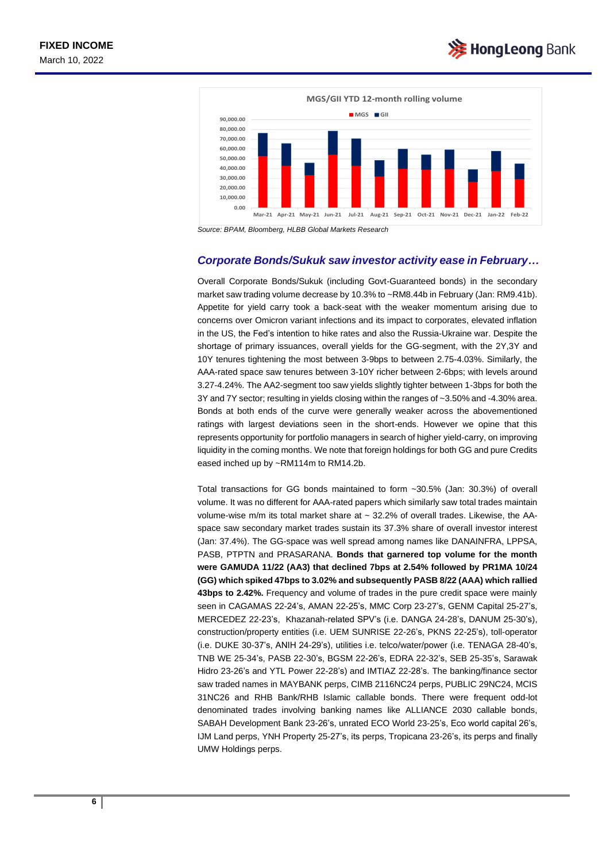

*Source: BPAM, Bloomberg, HLBB Global Markets Research*

#### *Corporate Bonds/Sukuk saw investor activity ease in February…*

Overall Corporate Bonds/Sukuk (including Govt-Guaranteed bonds) in the secondary market saw trading volume decrease by 10.3% to ~RM8.44b in February (Jan: RM9.41b). Appetite for yield carry took a back-seat with the weaker momentum arising due to concerns over Omicron variant infections and its impact to corporates, elevated inflation in the US, the Fed's intention to hike rates and also the Russia-Ukraine war. Despite the shortage of primary issuances, overall yields for the GG-segment, with the 2Y,3Y and 10Y tenures tightening the most between 3-9bps to between 2.75-4.03%. Similarly, the AAA-rated space saw tenures between 3-10Y richer between 2-6bps; with levels around 3.27-4.24%. The AA2-segment too saw yields slightly tighter between 1-3bps for both the 3Y and 7Y sector; resulting in yields closing within the ranges of ~3.50% and -4.30% area. Bonds at both ends of the curve were generally weaker across the abovementioned ratings with largest deviations seen in the short-ends. However we opine that this represents opportunity for portfolio managers in search of higher yield-carry, on improving liquidity in the coming months. We note that foreign holdings for both GG and pure Credits eased inched up by ~RM114m to RM14.2b.

Total transactions for GG bonds maintained to form ~30.5% (Jan: 30.3%) of overall volume. It was no different for AAA-rated papers which similarly saw total trades maintain volume-wise m/m its total market share at  $\sim$  32.2% of overall trades. Likewise, the AAspace saw secondary market trades sustain its 37.3% share of overall investor interest (Jan: 37.4%). The GG-space was well spread among names like DANAINFRA, LPPSA, PASB, PTPTN and PRASARANA. **Bonds that garnered top volume for the month were GAMUDA 11/22 (AA3) that declined 7bps at 2.54% followed by PR1MA 10/24 (GG) which spiked 47bps to 3.02% and subsequently PASB 8/22 (AAA) which rallied 43bps to 2.42%.** Frequency and volume of trades in the pure credit space were mainly seen in CAGAMAS 22-24's, AMAN 22-25's, MMC Corp 23-27's, GENM Capital 25-27's, MERCEDEZ 22-23's, Khazanah-related SPV's (i.e. DANGA 24-28's, DANUM 25-30's), construction/property entities (i.e. UEM SUNRISE 22-26's, PKNS 22-25's), toll-operator (i.e. DUKE 30-37's, ANIH 24-29's), utilities i.e. telco/water/power (i.e. TENAGA 28-40's, TNB WE 25-34's, PASB 22-30's, BGSM 22-26's, EDRA 22-32's, SEB 25-35's, Sarawak Hidro 23-26's and YTL Power 22-28's) and IMTIAZ 22-28's. The banking/finance sector saw traded names in MAYBANK perps, CIMB 2116NC24 perps, PUBLIC 29NC24, MCIS 31NC26 and RHB Bank/RHB Islamic callable bonds. There were frequent odd-lot denominated trades involving banking names like ALLIANCE 2030 callable bonds, SABAH Development Bank 23-26's, unrated ECO World 23-25's, Eco world capital 26's, IJM Land perps, YNH Property 25-27's, its perps, Tropicana 23-26's, its perps and finally UMW Holdings perps.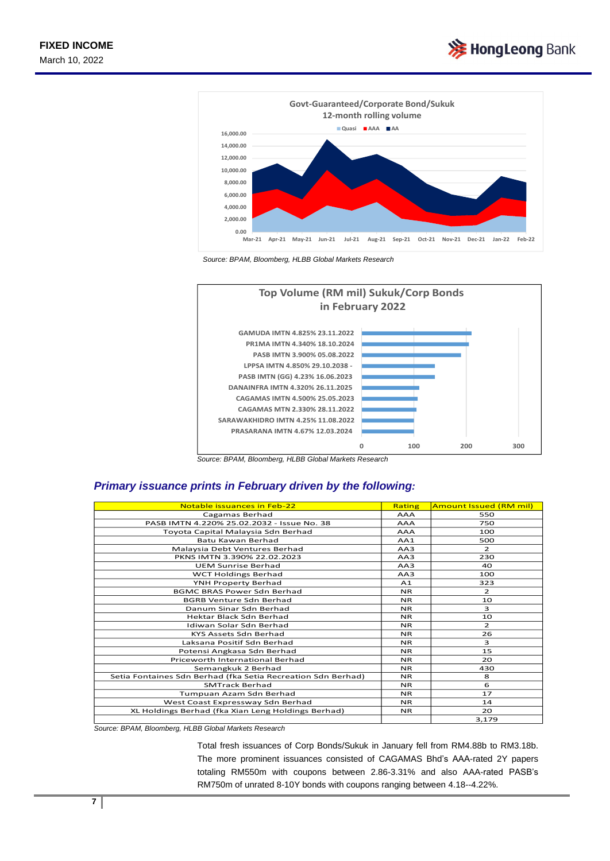



*Source: BPAM, Bloomberg, HLBB Global Markets Research*



*Source: BPAM, Bloomberg, HLBB Global Markets Research* 

### *Primary issuance prints in February driven by the following:*

| Notable issuances in Feb-22                                  | Rating         | <b>Amount Issued (RM mil)</b> |
|--------------------------------------------------------------|----------------|-------------------------------|
| Cagamas Berhad                                               | <b>AAA</b>     | 550                           |
| PASB IMTN 4.220% 25.02.2032 - Issue No. 38                   | <b>AAA</b>     | 750                           |
| Toyota Capital Malaysia Sdn Berhad                           | AAA            | 100                           |
| Batu Kawan Berhad                                            | AA1            | 500                           |
| Malaysia Debt Ventures Berhad                                | AA3            | $\overline{2}$                |
| PKNS IMTN 3.390% 22.02.2023                                  | AA3            | 230                           |
| <b>UEM Sunrise Berhad</b>                                    | AA3            | 40                            |
| <b>WCT Holdings Berhad</b>                                   | AA3            | 100                           |
| YNH Property Berhad                                          | A <sub>1</sub> | 323                           |
| <b>BGMC BRAS Power Sdn Berhad</b>                            | <b>NR</b>      | $\overline{2}$                |
| <b>BGRB Venture Sdn Berhad</b>                               | NR.            | 10                            |
| Danum Sinar Sdn Berhad                                       | <b>NR</b>      | 3                             |
| Hektar Black Sdn Berhad                                      | <b>NR</b>      | 10                            |
| Idiwan Solar Sdn Berhad                                      | <b>NR</b>      | $\overline{2}$                |
| KYS Assets Sdn Berhad                                        | <b>NR</b>      | 26                            |
| Laksana Positif Sdn Berhad                                   | <b>NR</b>      | 3                             |
| Potensi Angkasa Sdn Berhad                                   | <b>NR</b>      | 15                            |
| Priceworth International Berhad                              | N <sub>R</sub> | 20                            |
| Semangkuk 2 Berhad                                           | <b>NR</b>      | 430                           |
| Setia Fontaines Sdn Berhad (fka Setia Recreation Sdn Berhad) | NR.            | 8                             |
| <b>SMTrack Berhad</b>                                        | <b>NR</b>      | 6                             |
| Tumpuan Azam Sdn Berhad                                      | NR.            | 17                            |
| West Coast Expressway Sdn Berhad                             | <b>NR</b>      | 14                            |
| XL Holdings Berhad (fka Xian Leng Holdings Berhad)           | <b>NR</b>      | 20                            |
|                                                              |                | 3,179                         |

*Source: BPAM, Bloomberg, HLBB Global Markets Research*

Total fresh issuances of Corp Bonds/Sukuk in January fell from RM4.88b to RM3.18b. The more prominent issuances consisted of CAGAMAS Bhd's AAA-rated 2Y papers totaling RM550m with coupons between 2.86-3.31% and also AAA-rated PASB's RM750m of unrated 8-10Y bonds with coupons ranging between 4.18--4.22%.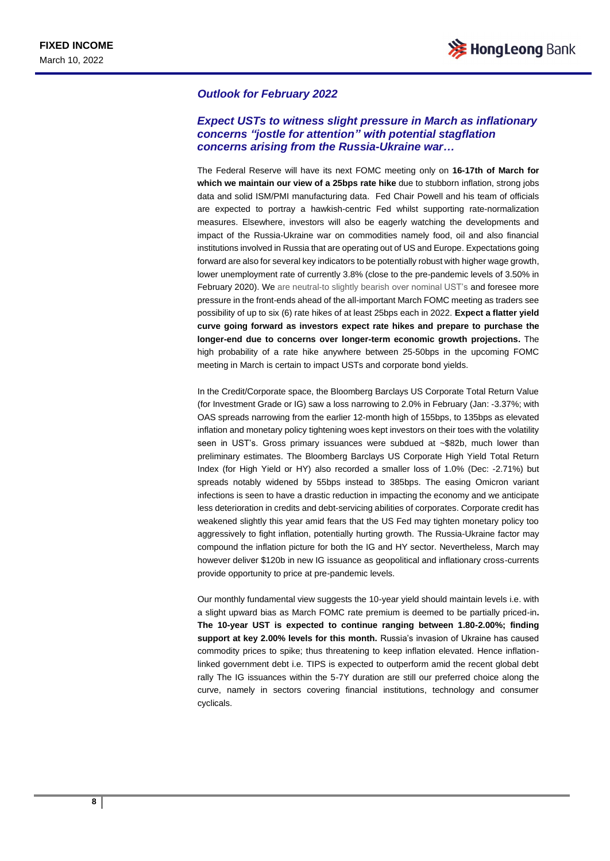#### *Outlook for February 2022*

### *Expect USTs to witness slight pressure in March as inflationary concerns "jostle for attention" with potential stagflation concerns arising from the Russia-Ukraine war…*

The Federal Reserve will have its next FOMC meeting only on **16-17th of March for which we maintain our view of a 25bps rate hike** due to stubborn inflation, strong jobs data and solid ISM/PMI manufacturing data. Fed Chair Powell and his team of officials are expected to portray a hawkish-centric Fed whilst supporting rate-normalization measures. Elsewhere, investors will also be eagerly watching the developments and impact of the Russia-Ukraine war on commodities namely food, oil and also financial institutions involved in Russia that are operating out of US and Europe. Expectations going forward are also for several key indicators to be potentially robust with higher wage growth, lower unemployment rate of currently 3.8% (close to the pre-pandemic levels of 3.50% in February 2020). We are neutral-to slightly bearish over nominal UST's and foresee more pressure in the front-ends ahead of the all-important March FOMC meeting as traders see possibility of up to six (6) rate hikes of at least 25bps each in 2022. **Expect a flatter yield curve going forward as investors expect rate hikes and prepare to purchase the longer-end due to concerns over longer-term economic growth projections.** The high probability of a rate hike anywhere between 25-50bps in the upcoming FOMC meeting in March is certain to impact USTs and corporate bond yields.

In the Credit/Corporate space, the Bloomberg Barclays US Corporate Total Return Value (for Investment Grade or IG) saw a loss narrowing to 2.0% in February (Jan: -3.37%; with OAS spreads narrowing from the earlier 12-month high of 155bps, to 135bps as elevated inflation and monetary policy tightening woes kept investors on their toes with the volatility seen in UST's. Gross primary issuances were subdued at ~\$82b, much lower than preliminary estimates. The Bloomberg Barclays US Corporate High Yield Total Return Index (for High Yield or HY) also recorded a smaller loss of 1.0% (Dec: -2.71%) but spreads notably widened by 55bps instead to 385bps. The easing Omicron variant infections is seen to have a drastic reduction in impacting the economy and we anticipate less deterioration in credits and debt-servicing abilities of corporates. Corporate credit has weakened slightly this year amid fears that the US Fed may tighten monetary policy too aggressively to fight inflation, potentially hurting growth. The Russia-Ukraine factor may compound the inflation picture for both the IG and HY sector. Nevertheless, March may however deliver \$120b in new IG issuance as geopolitical and inflationary cross-currents provide opportunity to price at pre-pandemic levels.

Our monthly fundamental view suggests the 10-year yield should maintain levels i.e. with a slight upward bias as March FOMC rate premium is deemed to be partially priced-in**. The 10-year UST is expected to continue ranging between 1.80-2.00%; finding support at key 2.00% levels for this month.** Russia's invasion of Ukraine has caused commodity prices to spike; thus threatening to keep inflation elevated. Hence inflationlinked government debt i.e. TIPS is expected to outperform amid the recent global debt rally The IG issuances within the 5-7Y duration are still our preferred choice along the curve, namely in sectors covering financial institutions, technology and consumer cyclicals.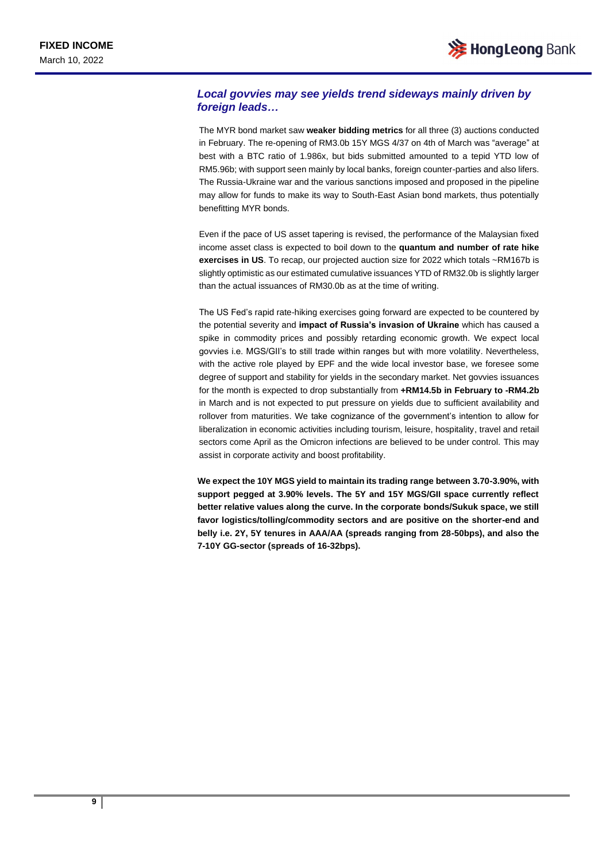## *Local govvies may see yields trend sideways mainly driven by foreign leads…*

The MYR bond market saw **weaker bidding metrics** for all three (3) auctions conducted in February. The re-opening of RM3.0b 15Y MGS 4/37 on 4th of March was "average" at best with a BTC ratio of 1.986x, but bids submitted amounted to a tepid YTD low of RM5.96b; with support seen mainly by local banks, foreign counter-parties and also lifers. The Russia-Ukraine war and the various sanctions imposed and proposed in the pipeline may allow for funds to make its way to South-East Asian bond markets, thus potentially benefitting MYR bonds.

Even if the pace of US asset tapering is revised, the performance of the Malaysian fixed income asset class is expected to boil down to the **quantum and number of rate hike exercises in US**. To recap, our projected auction size for 2022 which totals ~RM167b is slightly optimistic as our estimated cumulative issuances YTD of RM32.0b is slightly larger than the actual issuances of RM30.0b as at the time of writing.

The US Fed's rapid rate-hiking exercises going forward are expected to be countered by the potential severity and **impact of Russia's invasion of Ukraine** which has caused a spike in commodity prices and possibly retarding economic growth. We expect local govvies i.e. MGS/GII's to still trade within ranges but with more volatility. Nevertheless, with the active role played by EPF and the wide local investor base, we foresee some degree of support and stability for yields in the secondary market. Net govvies issuances for the month is expected to drop substantially from **+RM14.5b in February to -RM4.2b** in March and is not expected to put pressure on yields due to sufficient availability and rollover from maturities. We take cognizance of the government's intention to allow for liberalization in economic activities including tourism, leisure, hospitality, travel and retail sectors come April as the Omicron infections are believed to be under control. This may assist in corporate activity and boost profitability.

**We expect the 10Y MGS yield to maintain its trading range between 3.70-3.90%, with support pegged at 3.90% levels. The 5Y and 15Y MGS/GII space currently reflect better relative values along the curve. In the corporate bonds/Sukuk space, we still favor logistics/tolling/commodity sectors and are positive on the shorter-end and belly i.e. 2Y, 5Y tenures in AAA/AA (spreads ranging from 28-50bps), and also the 7-10Y GG-sector (spreads of 16-32bps).**